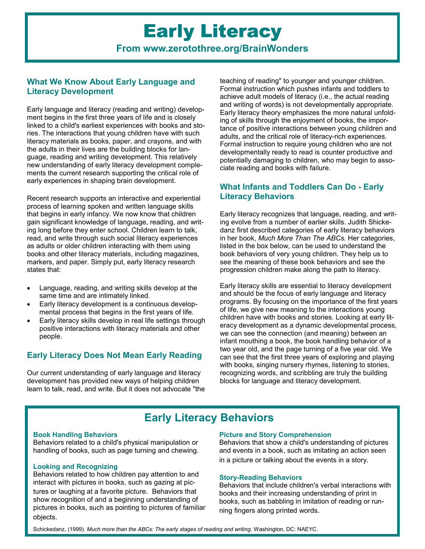# Early Literacy **From www.zerotothree.org/BrainWonders**

# **What We Know About Early Language and Literacy Development**

Early language and literacy (reading and writing) development begins in the first three years of life and is closely linked to a child's earliest experiences with books and stories. The interactions that young children have with such literacy materials as books, paper, and crayons, and with the adults in their lives are the building blocks for language, reading and writing development. This relatively new understanding of early literacy development complements the current research supporting the critical role of early experiences in shaping brain development.

Recent research supports an interactive and experiential process of learning spoken and written language skills that begins in early infancy. We now know that children gain significant knowledge of language, reading, and writing long before they enter school. Children learn to talk, read, and write through such social literacy experiences as adults or older children interacting with them using books and other literacy materials, including magazines, markers, and paper. Simply put, early literacy research states that:

- Language, reading, and writing skills develop at the same time and are intimately linked.
- Early literacy development is a continuous developmental process that begins in the first years of life.
- Early literacy skills develop in real life settings through positive interactions with literacy materials and other people.

## **Early Literacy Does Not Mean Early Reading**

Our current understanding of early language and literacy development has provided new ways of helping children learn to talk, read, and write. But it does not advocate "the teaching of reading" to younger and younger children. Formal instruction which pushes infants and toddlers to achieve adult models of literacy (i.e., the actual reading and writing of words) is not developmentally appropriate. Early literacy theory emphasizes the more natural unfolding of skills through the enjoyment of books, the importance of positive interactions between young children and adults, and the critical role of literacy-rich experiences. Formal instruction to require young children who are not developmentally ready to read is counter productive and potentially damaging to children, who may begin to associate reading and books with failure.

# **What Infants and Toddlers Can Do - Early Literacy Behaviors**

Early literacy recognizes that language, reading, and writing evolve from a number of earlier skills. Judith Shickedanz first described categories of early literacy behaviors in her book, *Much More Than The ABCs*. Her categories, listed in the box below, can be used to understand the book behaviors of very young children. They help us to see the meaning of these book behaviors and see the progression children make along the path to literacy.

Early literacy skills are essential to literacy development and should be the focus of early language and literacy programs. By focusing on the importance of the first years of life, we give new meaning to the interactions young children have with books and stories. Looking at early literacy development as a dynamic developmental process, we can see the connection (and meaning) between an infant mouthing a book, the book handling behavior of a two year old, and the page turning of a five year old. We can see that the first three years of exploring and playing with books, singing nursery rhymes, listening to stories, recognizing words, and scribbling are truly the building blocks for language and literacy development.

# **Early Literacy Behaviors**

### **Book Handling Behaviors**

Behaviors related to a child's physical manipulation or handling of books, such as page turning and chewing.

### **Looking and Recognizing**

Behaviors related to how children pay attention to and interact with pictures in books, such as gazing at pictures or laughing at a favorite picture. Behaviors that show recognition of and a beginning understanding of pictures in books, such as pointing to pictures of familiar objects.

### **Picture and Story Comprehension**

Behaviors that show a child's understanding of pictures and events in a book, such as imitating an action seen in a picture or talking about the events in a story.

### **Story-Reading Behaviors**

Behaviors that include children's verbal interactions with books and their increasing understanding of print in books, such as babbling in imitation of reading or running fingers along printed words.

Schickedanz, (1999). *Much more than the ABCs: The early stages of reading and writing*. Washington, DC: NAEYC.